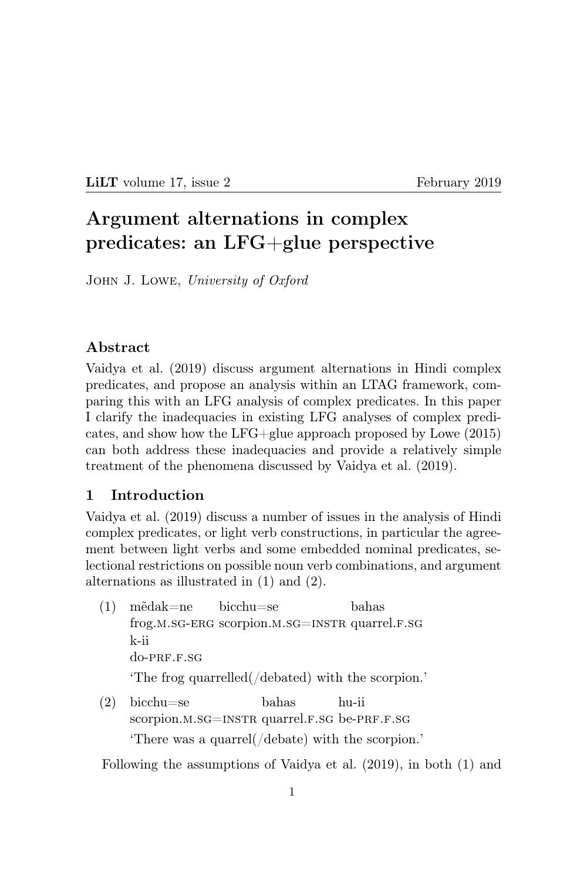LILT volume 17, issue 2 February 2019

# Argument alternations in complex predicates: an LFG+glue perspective

John J. Lowe, University of Oxford

#### Abstract

Vaidya et al. (2019) discuss argument alternations in Hindi complex predicates, and propose an analysis within an LTAG framework, comparing this with an LFG analysis of complex predicates. In this paper I clarify the inadequacies in existing LFG analyses of complex predicates, and show how the LFG+glue approach proposed by Lowe (2015) can both address these inadequacies and provide a relatively simple treatment of the phenomena discussed by Vaidya et al. (2019).

#### 1 Introduction

Vaidya et al. (2019) discuss a number of issues in the analysis of Hindi complex predicates, or light verb constructions, in particular the agreement between light verbs and some embedded nominal predicates, selectional restrictions on possible noun verb combinations, and argument alternations as illustrated in (1) and (2).

- (1) m˜edak=ne frog.m.sg-ERG scorpion.m.sg=INSTR quarrel.F.sg bicchu=se bahas k-ii  $do-PRF.F.SG$ 'The frog quarrelled(/debated) with the scorpion.'
- (2) bicchu=se scorpion.M.SG=INSTR quarrel.F.SG be-PRF.F.SG bahas hu-ii 'There was a quarrel(/debate) with the scorpion.'

Following the assumptions of Vaidya et al. (2019), in both (1) and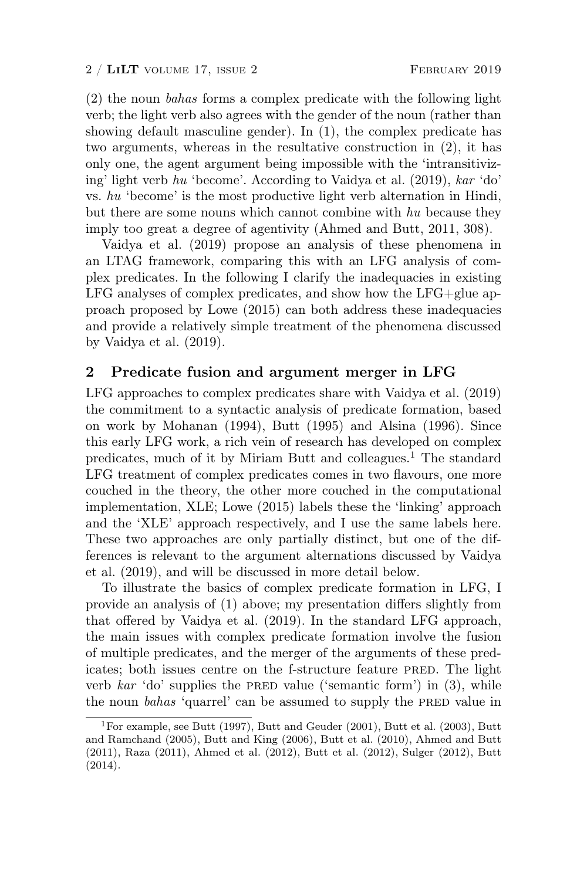(2) the noun bahas forms a complex predicate with the following light verb; the light verb also agrees with the gender of the noun (rather than showing default masculine gender). In (1), the complex predicate has two arguments, whereas in the resultative construction in (2), it has only one, the agent argument being impossible with the 'intransitivizing' light verb hu 'become'. According to Vaidya et al. (2019), kar 'do' vs. hu 'become' is the most productive light verb alternation in Hindi, but there are some nouns which cannot combine with hu because they imply too great a degree of agentivity (Ahmed and Butt, 2011, 308).

Vaidya et al. (2019) propose an analysis of these phenomena in an LTAG framework, comparing this with an LFG analysis of complex predicates. In the following I clarify the inadequacies in existing LFG analyses of complex predicates, and show how the LFG+glue approach proposed by Lowe (2015) can both address these inadequacies and provide a relatively simple treatment of the phenomena discussed by Vaidya et al. (2019).

#### 2 Predicate fusion and argument merger in LFG

LFG approaches to complex predicates share with Vaidya et al. (2019) the commitment to a syntactic analysis of predicate formation, based on work by Mohanan (1994), Butt (1995) and Alsina (1996). Since this early LFG work, a rich vein of research has developed on complex predicates, much of it by Miriam Butt and colleagues.<sup>1</sup> The standard LFG treatment of complex predicates comes in two flavours, one more couched in the theory, the other more couched in the computational implementation, XLE; Lowe (2015) labels these the 'linking' approach and the 'XLE' approach respectively, and I use the same labels here. These two approaches are only partially distinct, but one of the differences is relevant to the argument alternations discussed by Vaidya et al. (2019), and will be discussed in more detail below.

To illustrate the basics of complex predicate formation in LFG, I provide an analysis of (1) above; my presentation differs slightly from that offered by Vaidya et al. (2019). In the standard LFG approach, the main issues with complex predicate formation involve the fusion of multiple predicates, and the merger of the arguments of these predicates; both issues centre on the f-structure feature PRED. The light verb kar 'do' supplies the PRED value ('semantic form') in  $(3)$ , while the noun *bahas* 'quarrel' can be assumed to supply the PRED value in

<sup>1</sup>For example, see Butt (1997), Butt and Geuder (2001), Butt et al. (2003), Butt and Ramchand (2005), Butt and King (2006), Butt et al. (2010), Ahmed and Butt (2011), Raza (2011), Ahmed et al. (2012), Butt et al. (2012), Sulger (2012), Butt (2014).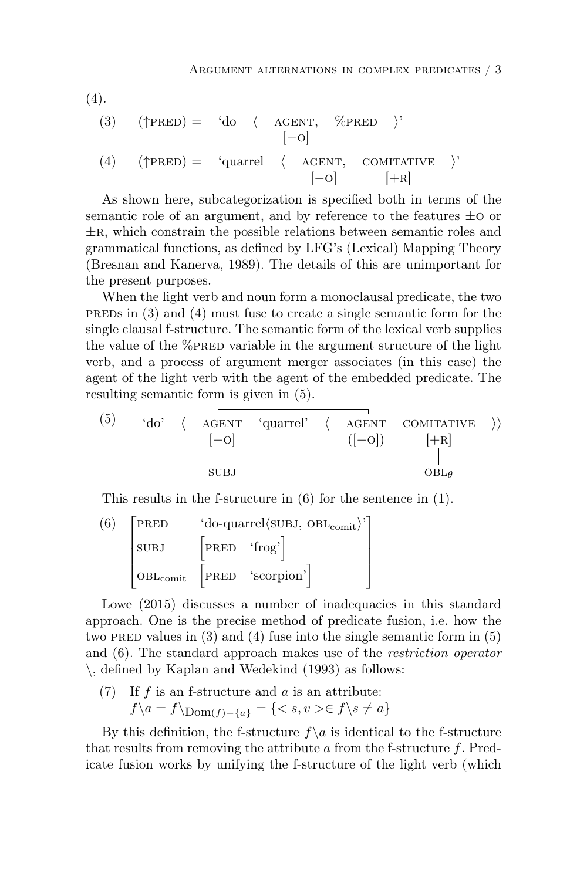$$
(4)
$$
.

(3) 
$$
(\uparrow \text{PRED}) = 'do \langle \text{AGENT}, \text{ %PRED} \rangle'
$$
  
\n $[-o]$   
\n(4)  $(\uparrow \text{PRED}) = 'quarrel \langle \text{AGENT}, \text{COMITATIVE} \rangle'$   
\n $[-o]$   $[+R]$ 

As shown here, subcategorization is specified both in terms of the semantic role of an argument, and by reference to the features  $\pm$ o or  $\pm$ R, which constrain the possible relations between semantic roles and grammatical functions, as defined by LFG's (Lexical) Mapping Theory (Bresnan and Kanerva, 1989). The details of this are unimportant for the present purposes.

When the light verb and noun form a monoclausal predicate, the two PREDs in  $(3)$  and  $(4)$  must fuse to create a single semantic form for the single clausal f-structure. The semantic form of the lexical verb supplies the value of the  $\%$ PRED variable in the argument structure of the light verb, and a process of argument merger associates (in this case) the agent of the light verb with the agent of the embedded predicate. The resulting semantic form is given in (5).

(5) 'do' ( AGENT 'quarrel' ( AGENT CONTATIVE )  
\n
$$
\begin{bmatrix} -0 \\ | \\ | \end{bmatrix}
$$
 (|-0])  $\begin{bmatrix} +R \\ | \\ | \end{bmatrix}$   
\nSUBJ

This results in the f-structure in (6) for the sentence in (1).

$$
\begin{array}{c}\n\text{(6)} \quad \begin{bmatrix}\n\text{PRED} & \text{'do-quarrel/sUBJ, OBL}_{\text{comit}} \\
\text{SUBJ} & \begin{bmatrix}\n\text{PRED} & \text{'frog'}\n\end{bmatrix} \\
\text{OBL}_{\text{comit}} & \begin{bmatrix}\n\text{PRED} & \text{'scorption'}\n\end{bmatrix}\n\end{array}
$$

Lowe  $(2015)$  discusses a number of inadequacies in this standard approach. One is the precise method of predicate fusion, i.e. how the two PRED values in  $(3)$  and  $(4)$  fuse into the single semantic form in  $(5)$ and (6). The standard approach makes use of the restriction operator \, defined by Kaplan and Wedekind (1993) as follows:

(7) If  $f$  is an f-structure and  $a$  is an attribute:  $f\{a = f\}_{\text{Dom}(f) - \{a\}} = \{< s, v > \in f\{s \neq a\}$ 

By this definition, the f-structure  $f\setminus a$  is identical to the f-structure that results from removing the attribute  $\alpha$  from the f-structure f. Predicate fusion works by unifying the f-structure of the light verb (which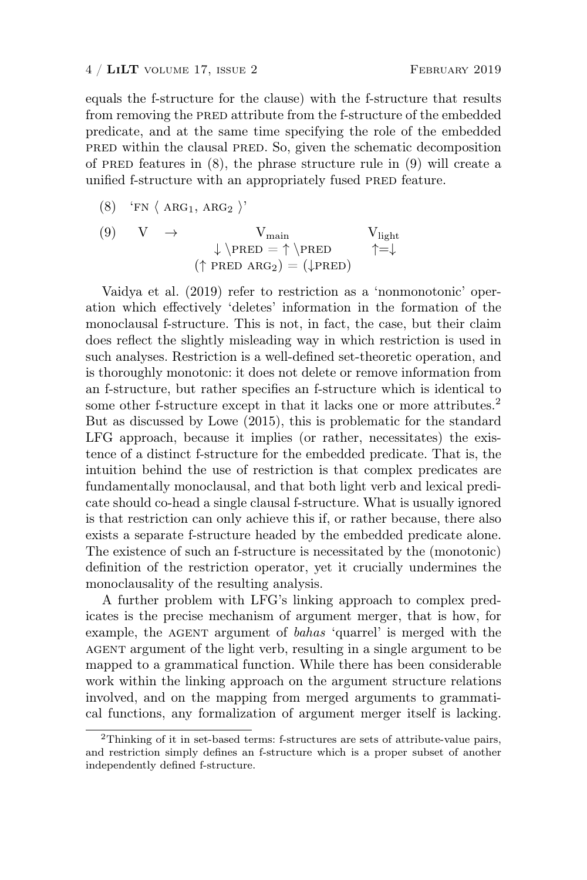equals the f-structure for the clause) with the f-structure that results from removing the PRED attribute from the f-structure of the embedded predicate, and at the same time specifying the role of the embedded pred within the clausal pred. So, given the schematic decomposition of PRED features in  $(8)$ , the phrase structure rule in  $(9)$  will create a unified f-structure with an appropriately fused PRED feature.

$$
(8) \quad 'FN \langle \text{ ARG}_1, \text{ARG}_2 \rangle'
$$

(9) 
$$
V \rightarrow V_{main}
$$
  $V_{light}$   
\n $\downarrow \text{PRED} = \uparrow \text{PRED} \uparrow = \downarrow$   
\n $(\uparrow \text{PRED} \text{ ARG}_2) = (\downarrow \text{PRED})$ 

Vaidya et al. (2019) refer to restriction as a 'nonmonotonic' operation which effectively 'deletes' information in the formation of the monoclausal f-structure. This is not, in fact, the case, but their claim does reflect the slightly misleading way in which restriction is used in such analyses. Restriction is a well-defined set-theoretic operation, and is thoroughly monotonic: it does not delete or remove information from an f-structure, but rather specifies an f-structure which is identical to some other f-structure except in that it lacks one or more attributes.<sup>2</sup> But as discussed by Lowe (2015), this is problematic for the standard LFG approach, because it implies (or rather, necessitates) the existence of a distinct f-structure for the embedded predicate. That is, the intuition behind the use of restriction is that complex predicates are fundamentally monoclausal, and that both light verb and lexical predicate should co-head a single clausal f-structure. What is usually ignored is that restriction can only achieve this if, or rather because, there also exists a separate f-structure headed by the embedded predicate alone. The existence of such an f-structure is necessitated by the (monotonic) definition of the restriction operator, yet it crucially undermines the monoclausality of the resulting analysis.

A further problem with LFG's linking approach to complex predicates is the precise mechanism of argument merger, that is how, for example, the AGENT argument of bahas 'quarrel' is merged with the agent argument of the light verb, resulting in a single argument to be mapped to a grammatical function. While there has been considerable work within the linking approach on the argument structure relations involved, and on the mapping from merged arguments to grammatical functions, any formalization of argument merger itself is lacking.

<sup>2</sup>Thinking of it in set-based terms: f-structures are sets of attribute-value pairs, and restriction simply defines an f-structure which is a proper subset of another independently defined f-structure.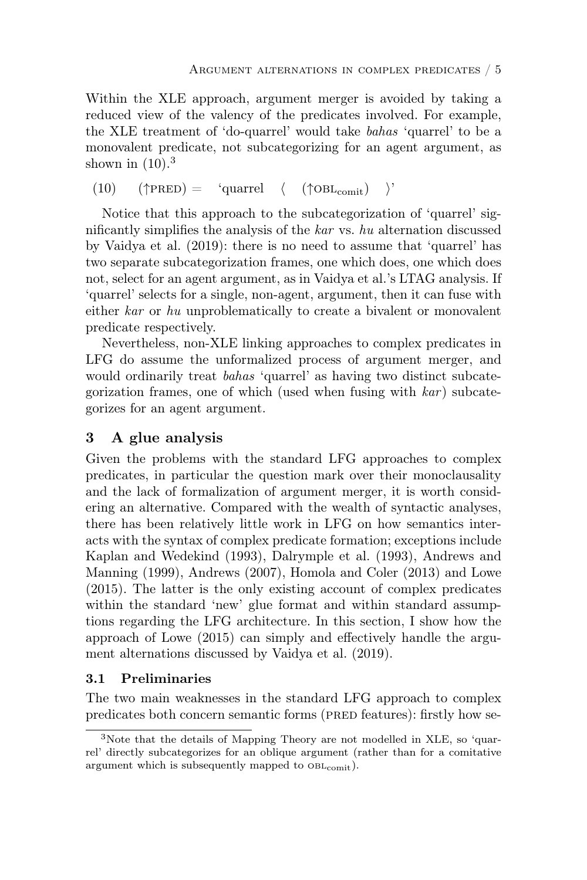Within the XLE approach, argument merger is avoided by taking a reduced view of the valency of the predicates involved. For example, the XLE treatment of 'do-quarrel' would take bahas 'quarrel' to be a monovalent predicate, not subcategorizing for an agent argument, as shown in  $(10).<sup>3</sup>$ 

 $(10)$   $(\uparrow$ PRED) = 'quarrel  $\langle$   $(\uparrow$ OBL<sub>comit</sub>)  $\rangle$ '

Notice that this approach to the subcategorization of 'quarrel' significantly simplifies the analysis of the kar vs. hu alternation discussed by Vaidya et al. (2019): there is no need to assume that 'quarrel' has two separate subcategorization frames, one which does, one which does not, select for an agent argument, as in Vaidya et al.'s LTAG analysis. If 'quarrel' selects for a single, non-agent, argument, then it can fuse with either kar or hu unproblematically to create a bivalent or monovalent predicate respectively.

Nevertheless, non-XLE linking approaches to complex predicates in LFG do assume the unformalized process of argument merger, and would ordinarily treat bahas 'quarrel' as having two distinct subcategorization frames, one of which (used when fusing with  $kar$ ) subcategorizes for an agent argument.

## 3 A glue analysis

Given the problems with the standard LFG approaches to complex predicates, in particular the question mark over their monoclausality and the lack of formalization of argument merger, it is worth considering an alternative. Compared with the wealth of syntactic analyses, there has been relatively little work in LFG on how semantics interacts with the syntax of complex predicate formation; exceptions include Kaplan and Wedekind (1993), Dalrymple et al. (1993), Andrews and Manning (1999), Andrews (2007), Homola and Coler (2013) and Lowe (2015). The latter is the only existing account of complex predicates within the standard 'new' glue format and within standard assumptions regarding the LFG architecture. In this section, I show how the approach of Lowe (2015) can simply and effectively handle the argument alternations discussed by Vaidya et al. (2019).

#### 3.1 Preliminaries

The two main weaknesses in the standard LFG approach to complex predicates both concern semantic forms (PRED features): firstly how se-

<sup>3</sup>Note that the details of Mapping Theory are not modelled in XLE, so 'quarrel' directly subcategorizes for an oblique argument (rather than for a comitative argument which is subsequently mapped to  $OBL_{comit}$ ).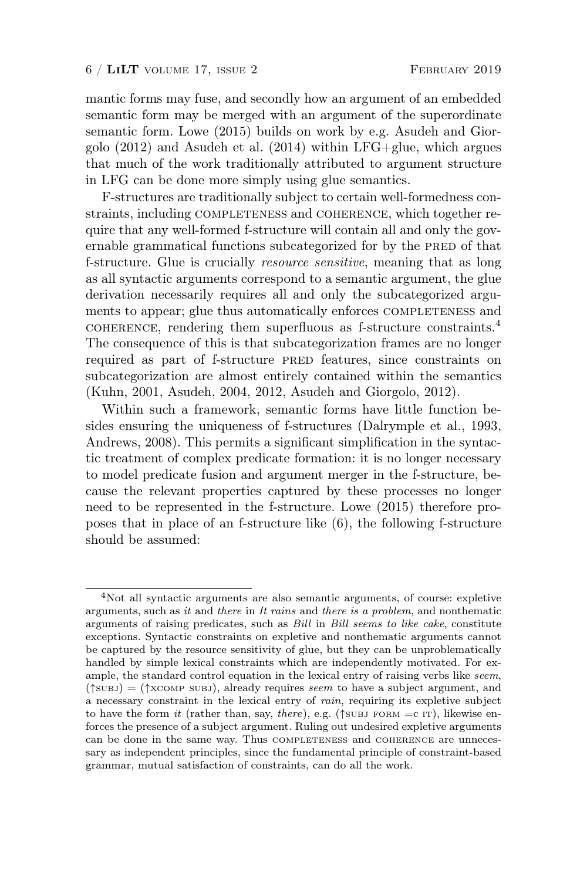mantic forms may fuse, and secondly how an argument of an embedded semantic form may be merged with an argument of the superordinate semantic form. Lowe (2015) builds on work by e.g. Asudeh and Giorgolo  $(2012)$  and Asudeh et al.  $(2014)$  within LFG+glue, which argues that much of the work traditionally attributed to argument structure in LFG can be done more simply using glue semantics.

F-structures are traditionally subject to certain well-formedness constraints, including COMPLETENESS and COHERENCE, which together require that any well-formed f-structure will contain all and only the governable grammatical functions subcategorized for by the PRED of that f-structure. Glue is crucially resource sensitive, meaning that as long as all syntactic arguments correspond to a semantic argument, the glue derivation necessarily requires all and only the subcategorized arguments to appear; glue thus automatically enforces COMPLETENESS and coherence, rendering them superfluous as f-structure constraints.<sup>4</sup> The consequence of this is that subcategorization frames are no longer required as part of f-structure PRED features, since constraints on subcategorization are almost entirely contained within the semantics (Kuhn, 2001, Asudeh, 2004, 2012, Asudeh and Giorgolo, 2012).

Within such a framework, semantic forms have little function besides ensuring the uniqueness of f-structures (Dalrymple et al., 1993, Andrews, 2008). This permits a significant simplification in the syntactic treatment of complex predicate formation: it is no longer necessary to model predicate fusion and argument merger in the f-structure, because the relevant properties captured by these processes no longer need to be represented in the f-structure. Lowe (2015) therefore proposes that in place of an f-structure like (6), the following f-structure should be assumed:

<sup>4</sup>Not all syntactic arguments are also semantic arguments, of course: expletive arguments, such as it and there in It rains and there is a problem, and nonthematic arguments of raising predicates, such as Bill in Bill seems to like cake, constitute exceptions. Syntactic constraints on expletive and nonthematic arguments cannot be captured by the resource sensitivity of glue, but they can be unproblematically handled by simple lexical constraints which are independently motivated. For example, the standard control equation in the lexical entry of raising verbs like seem,  $(\uparrow \text{sub})$  = ( $\uparrow \text{xcomp}$  subj), already requires seem to have a subject argument, and a necessary constraint in the lexical entry of rain, requiring its expletive subject to have the form it (rather than, say, there), e.g. ( $\uparrow$ subj FORM = c IT), likewise enforces the presence of a subject argument. Ruling out undesired expletive arguments can be done in the same way. Thus completeness and coherence are unnecessary as independent principles, since the fundamental principle of constraint-based grammar, mutual satisfaction of constraints, can do all the work.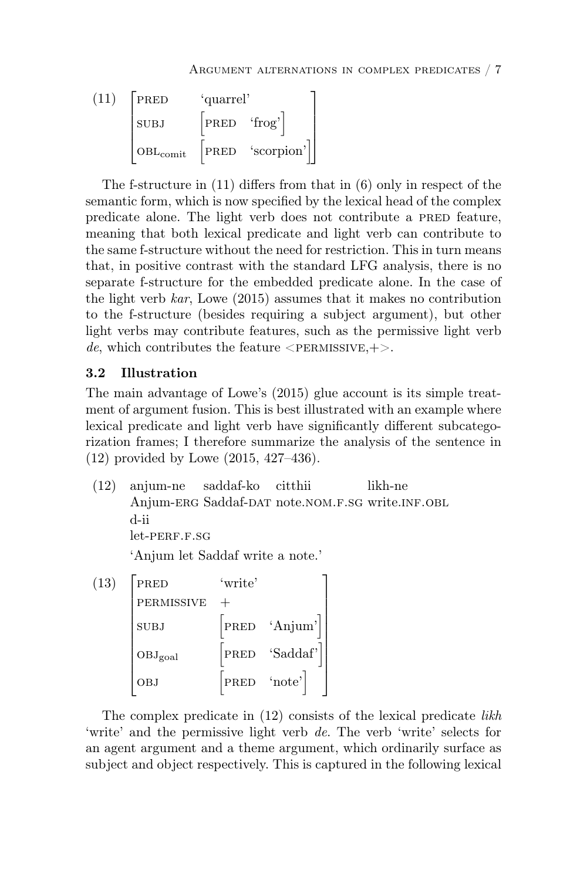$$
\begin{bmatrix} \text{PRED} & \text{'quarrel'} \\[.5em] \text{SUBJ} & \begin{bmatrix} \text{PRED} & \text{'frog'} \end{bmatrix} \\[.5em] \text{OBL}_{\text{comit}} & \begin{bmatrix} \text{PRED} & \text{'frog'} \end{bmatrix} \\[.5em] \end{bmatrix}
$$

The f-structure in (11) differs from that in (6) only in respect of the semantic form, which is now specified by the lexical head of the complex predicate alone. The light verb does not contribute a PRED feature, meaning that both lexical predicate and light verb can contribute to the same f-structure without the need for restriction. This in turn means that, in positive contrast with the standard LFG analysis, there is no separate f-structure for the embedded predicate alone. In the case of the light verb  $kar$ , Lowe (2015) assumes that it makes no contribution to the f-structure (besides requiring a subject argument), but other light verbs may contribute features, such as the permissive light verb de, which contributes the feature  $\langle$ PERMISSIVE,+ $>$ .

#### 3.2 Illustration

The main advantage of Lowe's (2015) glue account is its simple treatment of argument fusion. This is best illustrated with an example where lexical predicate and light verb have significantly different subcategorization frames; I therefore summarize the analysis of the sentence in (12) provided by Lowe (2015, 427–436).

(12) anjum-ne saddaf-ko citthii Anjum-ERG Saddaf-DAT note.NOM.F.SG write.INF.OBL likh-ne d-ii let-PERF F.SG

'Anjum let Saddaf write a note.'

 $(13)$  | PRED PRED 'write' permissive + subj [PRED 'Anjum'] OBJ<sub>goal</sub> [PRED 'Saddaf'] OBJ [PRED 'note'] 1 

The complex predicate in  $(12)$  consists of the lexical predicate *likh* 'write' and the permissive light verb de. The verb 'write' selects for an agent argument and a theme argument, which ordinarily surface as subject and object respectively. This is captured in the following lexical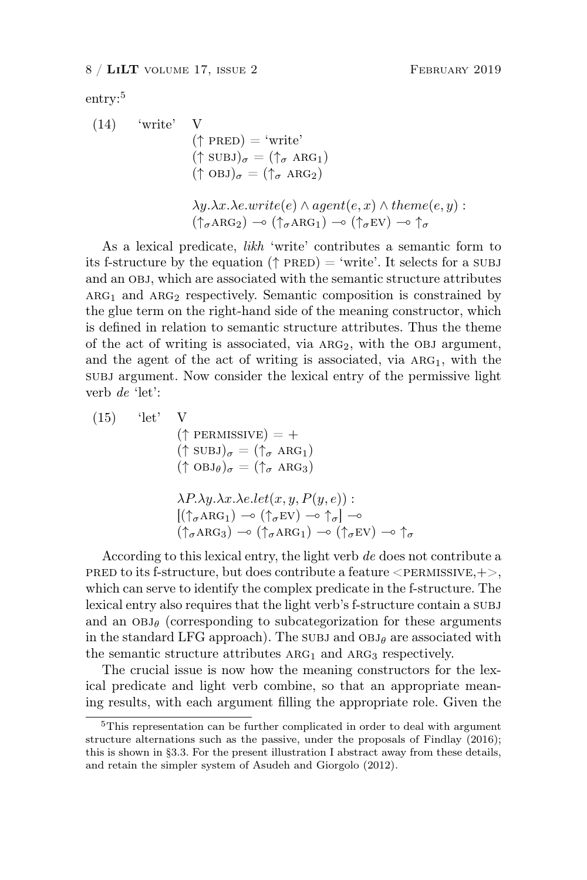$$
entry:5
$$

$$
(14)
$$

$$
\begin{array}{ll}\n\text{(} & \text{write'} & \text{V} \\
\text{(} \uparrow \text{PRED)} &= \text{'write'} \\
\text{(} \uparrow \text{SUBJ})_{\sigma} &= (\uparrow_{\sigma} \text{ ARG}_1) \\
\text{(} \uparrow \text{OBJ})_{\sigma} &= (\uparrow_{\sigma} \text{ARG}_2)\n\end{array}
$$
\n
$$
\begin{array}{ll}\n\lambda y. \lambda x. \lambda e. write(e) \land agent(e, x) \land theme(e, y) \\
\text{(} \uparrow_{\sigma} \text{ARG}_2) \rightarrow (\uparrow_{\sigma} \text{ARG}_1) \rightarrow (\uparrow_{\sigma} \text{EV}) \rightarrow \uparrow_{\sigma}\n\end{array}
$$

As a lexical predicate, likh 'write' contributes a semantic form to its f-structure by the equation ( $\uparrow$  PRED) = 'write'. It selects for a SUBJ and an obj, which are associated with the semantic structure attributes  $ARG<sub>1</sub>$  and  $ARG<sub>2</sub>$  respectively. Semantic composition is constrained by the glue term on the right-hand side of the meaning constructor, which is defined in relation to semantic structure attributes. Thus the theme of the act of writing is associated, via  $ARG_2$ , with the OBJ argument, and the agent of the act of writing is associated, via  $ARG_1$ , with the subj argument. Now consider the lexical entry of the permissive light verb de 'let':

 $(15)$  'let' V  $(\uparrow$  PERMISSIVE) = +  $(\uparrow \text{SUBJ})_{\sigma} = (\uparrow_{\sigma} \text{ARG}_1)$  $(\uparrow$  OBJ $_\theta)_\sigma$  =  $(\uparrow_\sigma$  ARG3)  $\lambda P.\lambda y.\lambda x.\lambda e. let (x, y, P(y, e))$ :  $[(\uparrow_{\sigma} A R G_1) \multimap (\uparrow_{\sigma} E V) \multimap \uparrow_{\sigma}] \multimap$  $(\uparrow_{\sigma} \text{ARG}_3) \multimap (\uparrow_{\sigma} \text{ARG}_1) \multimap (\uparrow_{\sigma} \text{EV}) \multimap \uparrow_{\sigma}$ 

According to this lexical entry, the light verb de does not contribute a PRED to its f-structure, but does contribute a feature  $\langle$ PERMISSIVE,+ $>$ , which can serve to identify the complex predicate in the f-structure. The lexical entry also requires that the light verb's f-structure contain a subj and an  $OBJ_\theta$  (corresponding to subcategorization for these arguments in the standard LFG approach). The subj and  $OBJ_\theta$  are associated with the semantic structure attributes  $ARG_1$  and  $ARG_3$  respectively.

The crucial issue is now how the meaning constructors for the lexical predicate and light verb combine, so that an appropriate meaning results, with each argument filling the appropriate role. Given the

<sup>5</sup>This representation can be further complicated in order to deal with argument structure alternations such as the passive, under the proposals of Findlay (2016); this is shown in §3.3. For the present illustration I abstract away from these details, and retain the simpler system of Asudeh and Giorgolo (2012).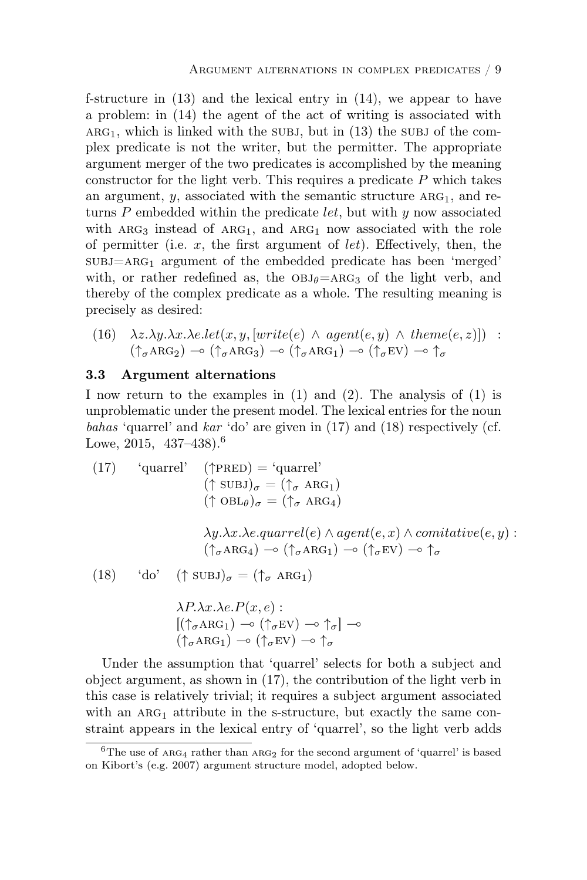f-structure in (13) and the lexical entry in (14), we appear to have a problem: in (14) the agent of the act of writing is associated with  $ARG<sub>1</sub>$ , which is linked with the subj, but in (13) the subj of the complex predicate is not the writer, but the permitter. The appropriate argument merger of the two predicates is accomplished by the meaning constructor for the light verb. This requires a predicate  $P$  which takes an argument,  $y$ , associated with the semantic structure  $ARG_1$ , and returns  $P$  embedded within the predicate *let*, but with  $y$  now associated with  $ARG<sub>3</sub>$  instead of  $ARG<sub>1</sub>$ , and  $ARG<sub>1</sub>$  now associated with the role of permitter (i.e.  $x$ , the first argument of  $let$ ). Effectively, then, the  $SUBJ=ARG_1$  argument of the embedded predicate has been 'merged' with, or rather redefined as, the  $OBJ_\theta=ARG_3$  of the light verb, and thereby of the complex predicate as a whole. The resulting meaning is precisely as desired:

(16) 
$$
\lambda z.\lambda y.\lambda x.\lambda e.let(x, y, [write(e) \land agent(e, y) \land theme(e, z)])
$$
 :  
 $(\uparrow_{\sigma} \text{ARG}_2) \rightarrow (\uparrow_{\sigma} \text{ARG}_3) \rightarrow (\uparrow_{\sigma} \text{ARG}_1) \rightarrow (\uparrow_{\sigma} \text{EV}) \rightarrow \uparrow_{\sigma}$ 

#### 3.3 Argument alternations

I now return to the examples in (1) and (2). The analysis of (1) is unproblematic under the present model. The lexical entries for the noun bahas 'quarrel' and kar 'do' are given in (17) and (18) respectively (cf. Lowe,  $2015$ ,  $437-438$ ).<sup>6</sup>

(17) 'quarrel' (†PRED) = 'quarrel'  
\n
$$
(\uparrow \text{SUBJ})_{\sigma} = (\uparrow_{\sigma} \text{ ARG}_1)
$$
\n
$$
(\uparrow \text{OBL}_{\theta})_{\sigma} = (\uparrow_{\sigma} \text{ARG}_4)
$$
\n
$$
\lambda y. \lambda x. \lambda e. \text{quarrel}(e) \land \text{agent}(e, x) \land \text{comitative}(e, y) :
$$
\n
$$
(\uparrow_{\sigma} \text{ARG}_4) \rightarrow (\uparrow_{\sigma} \text{ARG}_1) \rightarrow (\uparrow_{\sigma} \text{EV}) \rightarrow \uparrow_{\sigma}
$$
\n(18) 'do' († SUBJ)<sub>σ</sub> = ( $\uparrow_{\sigma} \text{ARG}_1$ )  
\n
$$
\lambda P. \lambda x. \lambda e. P(x, e) :
$$
\n
$$
[(\uparrow_{\sigma} \text{ARG}_1) \rightarrow (\uparrow_{\sigma} \text{EV}) \rightarrow \uparrow_{\sigma}] \rightarrow
$$

Under the assumption that 'quarrel' selects for both a subject and object argument, as shown in 
$$
(17)
$$
, the contribution of the light verb in this case is relatively trivial; it requires a subject argument associated with an  $ARG_1$  attribute in the s-structure, but exactly the same constraint appears in the lexical entry of 'quarrel', so the light verb adds

 $(\uparrow_{\sigma} \text{ARG}_1) \multimap (\uparrow_{\sigma} \text{EV}) \multimap \uparrow_{\sigma}$ 

<sup>&</sup>lt;sup>6</sup>The use of  $ARG_4$  rather than  $ARG_2$  for the second argument of 'quarrel' is based on Kibort's (e.g. 2007) argument structure model, adopted below.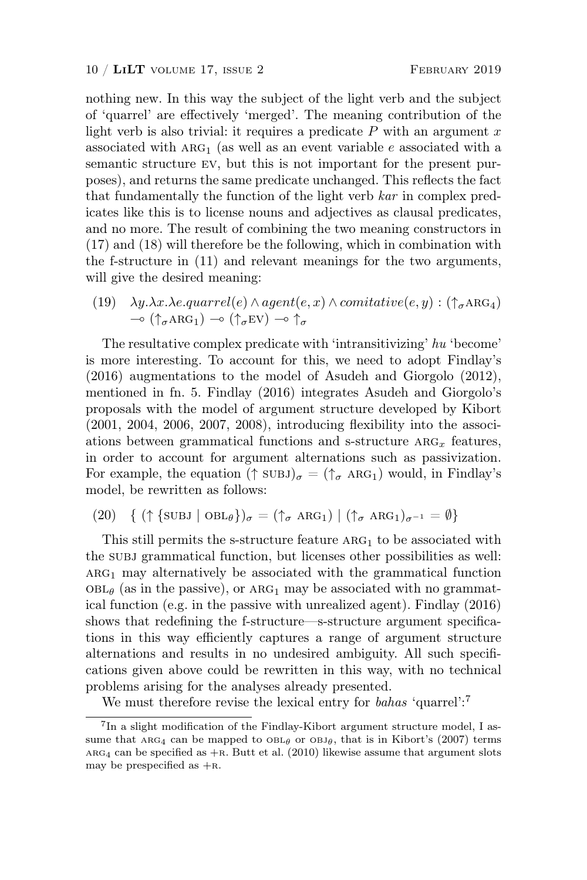nothing new. In this way the subject of the light verb and the subject of 'quarrel' are effectively 'merged'. The meaning contribution of the light verb is also trivial: it requires a predicate  $P$  with an argument  $x$ associated with  $ARG_1$  (as well as an event variable e associated with a semantic structure ev, but this is not important for the present purposes), and returns the same predicate unchanged. This reflects the fact that fundamentally the function of the light verb kar in complex predicates like this is to license nouns and adjectives as clausal predicates, and no more. The result of combining the two meaning constructors in (17) and (18) will therefore be the following, which in combination with the f-structure in (11) and relevant meanings for the two arguments, will give the desired meaning:

(19)  $\lambda y.\lambda x.\lambda e.quarrel(e) \wedge agent(e, x) \wedge comitative(e, y) : (\uparrow_{\sigma} \text{ARG}_4)$  $\sim (\uparrow_{\sigma} \text{ARG}_1) \sim (\uparrow_{\sigma} \text{EV}) \sim \uparrow_{\sigma}$ 

The resultative complex predicate with 'intransitivizing' hu 'become' is more interesting. To account for this, we need to adopt Findlay's (2016) augmentations to the model of Asudeh and Giorgolo (2012), mentioned in fn. 5. Findlay (2016) integrates Asudeh and Giorgolo's proposals with the model of argument structure developed by Kibort (2001, 2004, 2006, 2007, 2008), introducing flexibility into the associations between grammatical functions and s-structure  $ARG_x$  features, in order to account for argument alternations such as passivization. For example, the equation  $(\uparrow \text{SUBJ})_{\sigma} = (\uparrow_{\sigma} \text{ARG}_1)$  would, in Findlay's model, be rewritten as follows:

(20) { 
$$
( \uparrow \{SUBJ \mid OBL_{\theta} \})_{\sigma} = (\uparrow_{\sigma} ARG_{1}) | (\uparrow_{\sigma} ARG_{1})_{\sigma^{-1}} = \emptyset \}
$$

This still permits the s-structure feature  $ARG<sub>1</sub>$  to be associated with the subj grammatical function, but licenses other possibilities as well:  $ARG<sub>1</sub>$  may alternatively be associated with the grammatical function  $OBL_{\theta}$  (as in the passive), or ARG<sub>1</sub> may be associated with no grammatical function (e.g. in the passive with unrealized agent). Findlay (2016) shows that redefining the f-structure—s-structure argument specifications in this way efficiently captures a range of argument structure alternations and results in no undesired ambiguity. All such specifications given above could be rewritten in this way, with no technical problems arising for the analyses already presented.

We must therefore revise the lexical entry for *bahas* 'quarrel':<sup>7</sup>

<sup>&</sup>lt;sup>7</sup>In a slight modification of the Findlay-Kibort argument structure model, I assume that  $\text{ARG}_4$  can be mapped to  $\text{OBL}_\theta$  or  $\text{OBL}_\theta$ , that is in Kibort's (2007) terms  $ARG<sub>4</sub>$  can be specified as  $+R$ . Butt et al. (2010) likewise assume that argument slots may be prespecified as  $+R$ .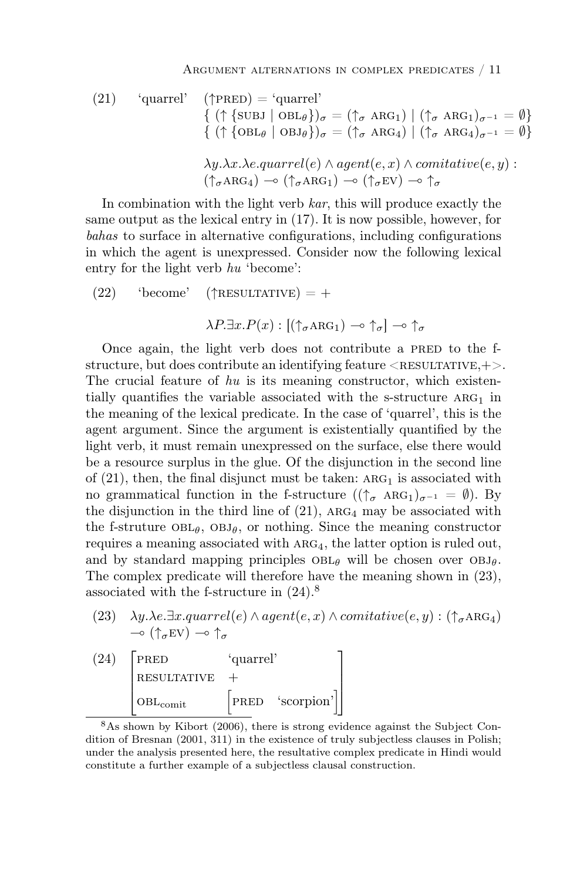(21) 'quarrel' (
$$
\uparrow
$$
PRED) = 'quarrel'  
\n{ ( $\uparrow$  {SUBJ | OBL $\theta$ }) $_{\sigma}$  = ( $\uparrow_{\sigma}$  ARG<sub>1</sub>) | ( $\uparrow_{\sigma}$  ARG<sub>1</sub>) $_{\sigma^{-1}}$  =  $\emptyset$ }  
\n{ ( $\uparrow$  {OBL $\theta$  | OBJ $\theta$ }) $_{\sigma}$  = ( $\uparrow_{\sigma}$  ARG<sub>4</sub>) | ( $\uparrow_{\sigma}$  ARG<sub>4</sub>) $_{\sigma^{-1}}$  =  $\emptyset$ }  
\n $\lambda y.\lambda x.\lambda e.quarrel(e) \wedge agent(e, x) \wedge comitative(e, y):$   
\n( $\uparrow_{\sigma}$ ARG<sub>4</sub>)  $\rightarrow$  ( $\uparrow_{\sigma}$ ERV)  $\rightarrow$   $\uparrow_{\sigma}$ 

In combination with the light verb  $kar$ , this will produce exactly the same output as the lexical entry in (17). It is now possible, however, for bahas to surface in alternative configurations, including configurations in which the agent is unexpressed. Consider now the following lexical entry for the light verb hu 'become':

(22) 'become'  $(\uparrow$ RESULTATIVE) = +

 $\lambda P \exists x . P(x) : \left[ (\uparrow_{\sigma} \text{ARG}_1) \multimap \uparrow_{\sigma} \right] \multimap \uparrow_{\sigma}$ 

Once again, the light verb does not contribute a PRED to the fstructure, but does contribute an identifying feature  $\langle$ RESULTATIVE,+ $>$ . The crucial feature of  $hu$  is its meaning constructor, which existentially quantifies the variable associated with the s-structure  $ARG_1$  in the meaning of the lexical predicate. In the case of 'quarrel', this is the agent argument. Since the argument is existentially quantified by the light verb, it must remain unexpressed on the surface, else there would be a resource surplus in the glue. Of the disjunction in the second line of  $(21)$ , then, the final disjunct must be taken: ARG<sub>1</sub> is associated with no grammatical function in the f-structure  $((\uparrow \sigma \text{ ARG}_1)_{\sigma^{-1}} = \emptyset)$ . By the disjunction in the third line of  $(21)$ , ARG<sub>4</sub> may be associated with the f-struture  $OBL_{\theta}$ ,  $OBL_{\theta}$ , or nothing. Since the meaning constructor requires a meaning associated with  $ARG<sub>4</sub>$ , the latter option is ruled out, and by standard mapping principles  $OBL_\theta$  will be chosen over  $OBL_\theta$ . The complex predicate will therefore have the meaning shown in (23), associated with the f-structure in (24).<sup>8</sup>

(23)  $\lambda y.\lambda e.\exists x.quarrel(e) \wedge agent(e, x) \wedge comitative(e, y) : (\uparrow_{\sigma} \text{ARG}_4)$  $\sim$  ( $\uparrow_{\sigma}$ EV)  $\sim$   $\uparrow_{\sigma}$ 

$$
\begin{bmatrix} \text{PRED} & \text{'quarrel'} \\ \text{RESULTATIVE} & + \\ \text{OBL}_{\text{comit}} & \text{PRED} & \text{'scorption'} \end{bmatrix}
$$

<sup>8</sup>As shown by Kibort (2006), there is strong evidence against the Subject Condition of Bresnan (2001, 311) in the existence of truly subjectless clauses in Polish; under the analysis presented here, the resultative complex predicate in Hindi would constitute a further example of a subjectless clausal construction.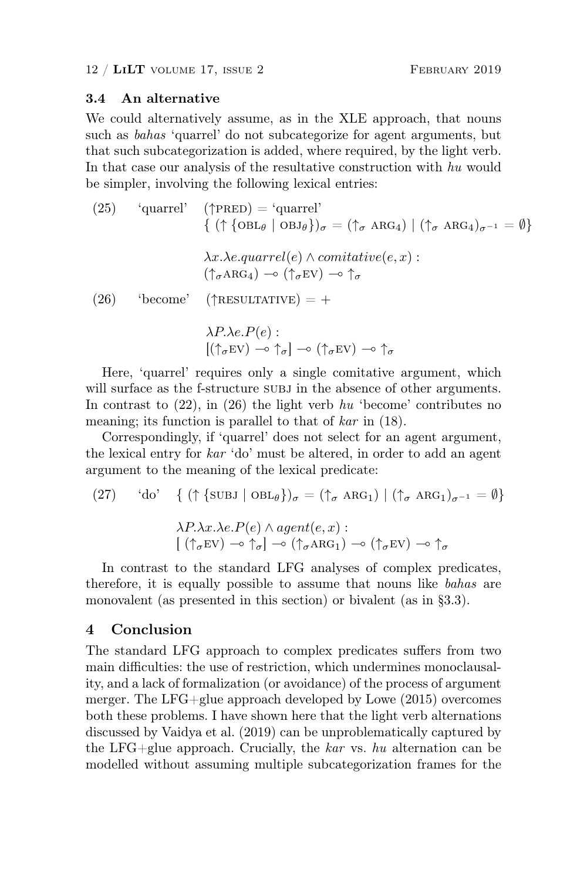#### 3.4 An alternative

We could alternatively assume, as in the XLE approach, that nouns such as bahas 'quarrel' do not subcategorize for agent arguments, but that such subcategorization is added, where required, by the light verb. In that case our analysis of the resultative construction with hu would be simpler, involving the following lexical entries:

(25) 'quarrel' (
$$
\uparrow
$$
PRED) = 'quarrel'  
\n{ ( $\uparrow$  {OBL $\theta$  | OBJ $\theta$ }) $\sigma$  = ( $\uparrow$  $\sigma$  ARG<sub>4</sub>) | ( $\uparrow$  $\sigma$  ARG<sub>4</sub>) $\sigma$ <sup>-1</sup> =  $\emptyset$ }  
\n $\lambda x.\lambda e.quarrel(e) \wedge comitative(e, x) :\n( $\uparrow$  $\sigma$  ARG<sub>4</sub>)  $\rightarrow$  ( $\uparrow$  $\sigma$  EV)  $\rightarrow$   $\uparrow$  $\sigma$   
\n(26) 'become' ( $\uparrow$ RESULTATIVE) = +  
\n $\lambda P.\lambda e.P(e) :\n[( $\uparrow$  $\sigma$  EV)  $\rightarrow$   $\uparrow$  $\sigma$ ]  $\rightarrow$  ( $\uparrow$  $\sigma$  EV)  $\rightarrow$   $\uparrow$  $\sigma$$$ 

Here, 'quarrel' requires only a single comitative argument, which will surface as the f-structure subj in the absence of other arguments. In contrast to  $(22)$ , in  $(26)$  the light verb hu 'become' contributes no meaning; its function is parallel to that of kar in (18).

Correspondingly, if 'quarrel' does not select for an agent argument, the lexical entry for kar 'do' must be altered, in order to add an agent argument to the meaning of the lexical predicate:

(27) 'do' {(
$$
\uparrow
$$
 {SUBJ | OBL $\theta$ }) $_{\sigma}$  = ( $\uparrow_{\sigma}$  ARG<sub>1</sub>) | ( $\uparrow_{\sigma}$  ARG<sub>1</sub>) $_{\sigma^{-1}}$  =  $\emptyset$ }  
 $\lambda P.\lambda x.\lambda e.P(e) \wedge agent(e, x):$   
[ ( $\uparrow_{\sigma}$ EV)  $\rightarrow \uparrow_{\sigma}$ ]  $\rightarrow$  ( $\uparrow_{\sigma}$ ARG<sub>1</sub>)  $\rightarrow$  ( $\uparrow_{\sigma}$ EV)  $\rightarrow \uparrow_{\sigma}$ 

In contrast to the standard LFG analyses of complex predicates, therefore, it is equally possible to assume that nouns like bahas are monovalent (as presented in this section) or bivalent (as in §3.3).

### 4 Conclusion

The standard LFG approach to complex predicates suffers from two main difficulties: the use of restriction, which undermines monoclausality, and a lack of formalization (or avoidance) of the process of argument merger. The LFG+glue approach developed by Lowe (2015) overcomes both these problems. I have shown here that the light verb alternations discussed by Vaidya et al. (2019) can be unproblematically captured by the LFG+glue approach. Crucially, the kar vs. hu alternation can be modelled without assuming multiple subcategorization frames for the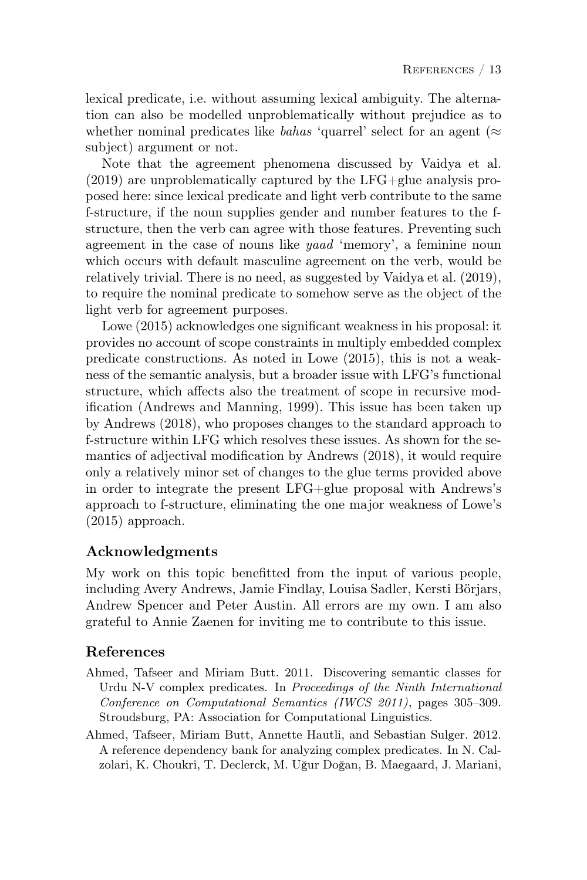lexical predicate, i.e. without assuming lexical ambiguity. The alternation can also be modelled unproblematically without prejudice as to whether nominal predicates like bahas 'quarrel' select for an agent ( $\approx$ subject) argument or not.

Note that the agreement phenomena discussed by Vaidya et al. (2019) are unproblematically captured by the LFG+glue analysis proposed here: since lexical predicate and light verb contribute to the same f-structure, if the noun supplies gender and number features to the fstructure, then the verb can agree with those features. Preventing such agreement in the case of nouns like yaad 'memory', a feminine noun which occurs with default masculine agreement on the verb, would be relatively trivial. There is no need, as suggested by Vaidya et al. (2019), to require the nominal predicate to somehow serve as the object of the light verb for agreement purposes.

Lowe (2015) acknowledges one significant weakness in his proposal: it provides no account of scope constraints in multiply embedded complex predicate constructions. As noted in Lowe (2015), this is not a weakness of the semantic analysis, but a broader issue with LFG's functional structure, which affects also the treatment of scope in recursive modification (Andrews and Manning, 1999). This issue has been taken up by Andrews (2018), who proposes changes to the standard approach to f-structure within LFG which resolves these issues. As shown for the semantics of adjectival modification by Andrews (2018), it would require only a relatively minor set of changes to the glue terms provided above in order to integrate the present LFG+glue proposal with Andrews's approach to f-structure, eliminating the one major weakness of Lowe's (2015) approach.

# Acknowledgments

My work on this topic benefitted from the input of various people, including Avery Andrews, Jamie Findlay, Louisa Sadler, Kersti Börjars, Andrew Spencer and Peter Austin. All errors are my own. I am also grateful to Annie Zaenen for inviting me to contribute to this issue.

### References

- Ahmed, Tafseer and Miriam Butt. 2011. Discovering semantic classes for Urdu N-V complex predicates. In Proceedings of the Ninth International Conference on Computational Semantics (IWCS 2011), pages 305–309. Stroudsburg, PA: Association for Computational Linguistics.
- Ahmed, Tafseer, Miriam Butt, Annette Hautli, and Sebastian Sulger. 2012. A reference dependency bank for analyzing complex predicates. In N. Calzolari, K. Choukri, T. Declerck, M. Uğur Doğan, B. Maegaard, J. Mariani,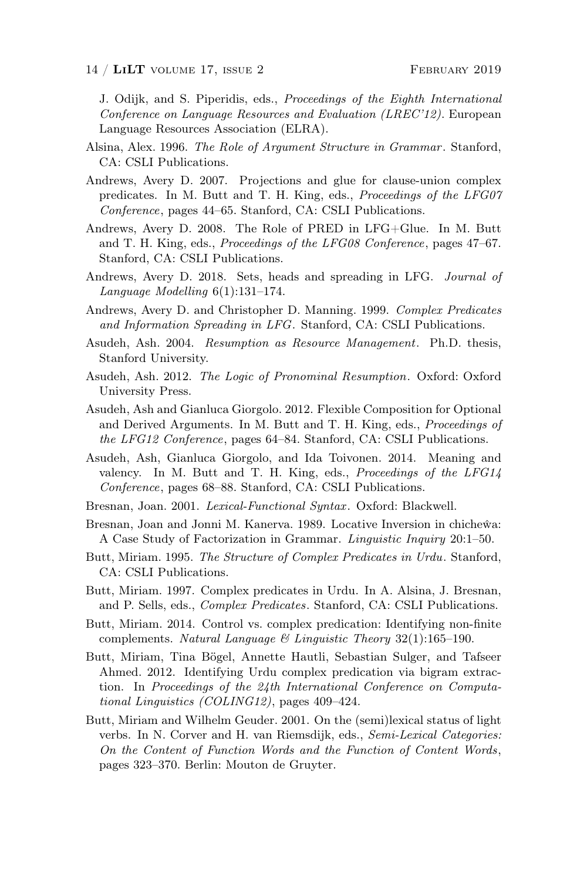J. Odijk, and S. Piperidis, eds., Proceedings of the Eighth International Conference on Language Resources and Evaluation (LREC'12). European Language Resources Association (ELRA).

- Alsina, Alex. 1996. The Role of Argument Structure in Grammar. Stanford, CA: CSLI Publications.
- Andrews, Avery D. 2007. Projections and glue for clause-union complex predicates. In M. Butt and T. H. King, eds., Proceedings of the LFG07 Conference, pages 44–65. Stanford, CA: CSLI Publications.
- Andrews, Avery D. 2008. The Role of PRED in LFG+Glue. In M. Butt and T. H. King, eds., Proceedings of the LFG08 Conference, pages 47–67. Stanford, CA: CSLI Publications.
- Andrews, Avery D. 2018. Sets, heads and spreading in LFG. Journal of Language Modelling 6(1):131–174.
- Andrews, Avery D. and Christopher D. Manning. 1999. Complex Predicates and Information Spreading in LFG. Stanford, CA: CSLI Publications.
- Asudeh, Ash. 2004. Resumption as Resource Management. Ph.D. thesis, Stanford University.
- Asudeh, Ash. 2012. The Logic of Pronominal Resumption. Oxford: Oxford University Press.
- Asudeh, Ash and Gianluca Giorgolo. 2012. Flexible Composition for Optional and Derived Arguments. In M. Butt and T. H. King, eds., Proceedings of the LFG12 Conference, pages 64–84. Stanford, CA: CSLI Publications.
- Asudeh, Ash, Gianluca Giorgolo, and Ida Toivonen. 2014. Meaning and valency. In M. Butt and T. H. King, eds., Proceedings of the LFG14 Conference, pages 68–88. Stanford, CA: CSLI Publications.
- Bresnan, Joan. 2001. Lexical-Functional Syntax. Oxford: Blackwell.
- Bresnan, Joan and Jonni M. Kanerva. 1989. Locative Inversion in chichewa: A Case Study of Factorization in Grammar. Linguistic Inquiry 20:1–50.
- Butt, Miriam. 1995. The Structure of Complex Predicates in Urdu. Stanford, CA: CSLI Publications.
- Butt, Miriam. 1997. Complex predicates in Urdu. In A. Alsina, J. Bresnan, and P. Sells, eds., Complex Predicates. Stanford, CA: CSLI Publications.
- Butt, Miriam. 2014. Control vs. complex predication: Identifying non-finite complements. Natural Language  $\mathcal B$  Linguistic Theory 32(1):165–190.
- Butt, Miriam, Tina Bögel, Annette Hautli, Sebastian Sulger, and Tafseer Ahmed. 2012. Identifying Urdu complex predication via bigram extraction. In Proceedings of the 24th International Conference on Computational Linguistics (COLING12), pages 409–424.
- Butt, Miriam and Wilhelm Geuder. 2001. On the (semi)lexical status of light verbs. In N. Corver and H. van Riemsdijk, eds., Semi-Lexical Categories: On the Content of Function Words and the Function of Content Words, pages 323–370. Berlin: Mouton de Gruyter.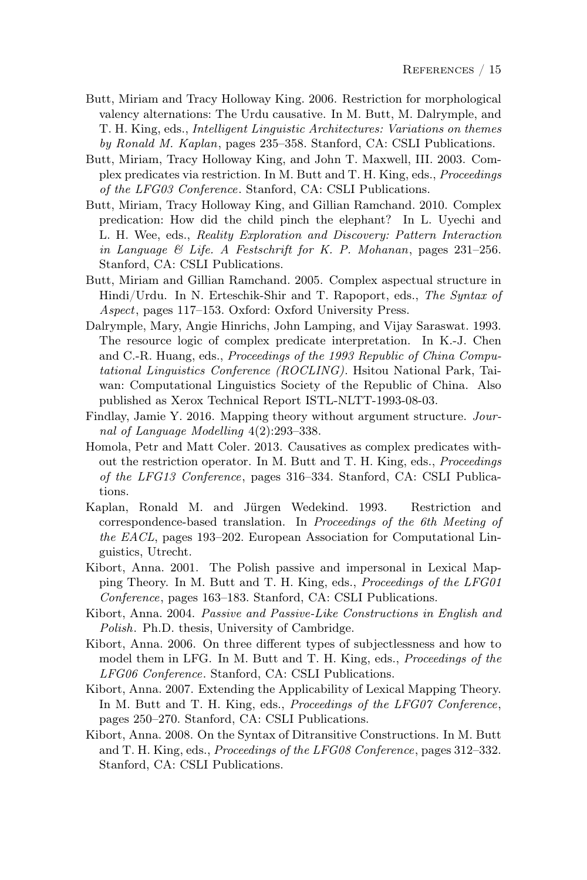- Butt, Miriam and Tracy Holloway King. 2006. Restriction for morphological valency alternations: The Urdu causative. In M. Butt, M. Dalrymple, and T. H. King, eds., Intelligent Linguistic Architectures: Variations on themes by Ronald M. Kaplan, pages 235–358. Stanford, CA: CSLI Publications.
- Butt, Miriam, Tracy Holloway King, and John T. Maxwell, III. 2003. Complex predicates via restriction. In M. Butt and T. H. King, eds., Proceedings of the LFG03 Conference. Stanford, CA: CSLI Publications.
- Butt, Miriam, Tracy Holloway King, and Gillian Ramchand. 2010. Complex predication: How did the child pinch the elephant? In L. Uyechi and L. H. Wee, eds., Reality Exploration and Discovery: Pattern Interaction in Language & Life. A Festschrift for K. P. Mohanan, pages 231–256. Stanford, CA: CSLI Publications.
- Butt, Miriam and Gillian Ramchand. 2005. Complex aspectual structure in Hindi/Urdu. In N. Erteschik-Shir and T. Rapoport, eds., The Syntax of Aspect, pages 117–153. Oxford: Oxford University Press.
- Dalrymple, Mary, Angie Hinrichs, John Lamping, and Vijay Saraswat. 1993. The resource logic of complex predicate interpretation. In K.-J. Chen and C.-R. Huang, eds., Proceedings of the 1993 Republic of China Computational Linguistics Conference (ROCLING). Hsitou National Park, Taiwan: Computational Linguistics Society of the Republic of China. Also published as Xerox Technical Report ISTL-NLTT-1993-08-03.
- Findlay, Jamie Y. 2016. Mapping theory without argument structure. Journal of Language Modelling 4(2):293–338.
- Homola, Petr and Matt Coler. 2013. Causatives as complex predicates without the restriction operator. In M. Butt and T. H. King, eds., Proceedings of the LFG13 Conference, pages 316–334. Stanford, CA: CSLI Publications.
- Kaplan, Ronald M. and Jürgen Wedekind. 1993. Restriction and correspondence-based translation. In Proceedings of the 6th Meeting of the EACL, pages 193–202. European Association for Computational Linguistics, Utrecht.
- Kibort, Anna. 2001. The Polish passive and impersonal in Lexical Mapping Theory. In M. Butt and T. H. King, eds., Proceedings of the LFG01 Conference, pages 163–183. Stanford, CA: CSLI Publications.
- Kibort, Anna. 2004. Passive and Passive-Like Constructions in English and Polish. Ph.D. thesis, University of Cambridge.
- Kibort, Anna. 2006. On three different types of subjectlessness and how to model them in LFG. In M. Butt and T. H. King, eds., *Proceedings of the* LFG06 Conference. Stanford, CA: CSLI Publications.
- Kibort, Anna. 2007. Extending the Applicability of Lexical Mapping Theory. In M. Butt and T. H. King, eds., Proceedings of the LFG07 Conference, pages 250–270. Stanford, CA: CSLI Publications.
- Kibort, Anna. 2008. On the Syntax of Ditransitive Constructions. In M. Butt and T. H. King, eds., *Proceedings of the LFG08 Conference*, pages 312–332. Stanford, CA: CSLI Publications.